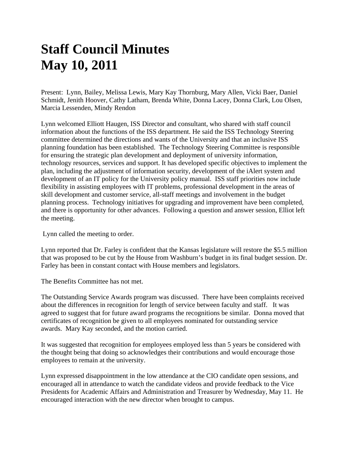## **Staff Council Minutes May 10, 2011**

Present: Lynn, Bailey, Melissa Lewis, Mary Kay Thornburg, Mary Allen, Vicki Baer, Daniel Schmidt, Jenith Hoover, Cathy Latham, Brenda White, Donna Lacey, Donna Clark, Lou Olsen, Marcia Lessenden, Mindy Rendon

Lynn welcomed Elliott Haugen, ISS Director and consultant, who shared with staff council information about the functions of the ISS department. He said the ISS Technology Steering committee determined the directions and wants of the University and that an inclusive ISS planning foundation has been established. The Technology Steering Committee is responsible for ensuring the strategic plan development and deployment of university information, technology resources, services and support. It has developed specific objectives to implement the plan, including the adjustment of information security, development of the iAlert system and development of an IT policy for the University policy manual. ISS staff priorities now include flexibility in assisting employees with IT problems, professional development in the areas of skill development and customer service, all-staff meetings and involvement in the budget planning process. Technology initiatives for upgrading and improvement have been completed, and there is opportunity for other advances. Following a question and answer session, Elliot left the meeting.

Lynn called the meeting to order.

Lynn reported that Dr. Farley is confident that the Kansas legislature will restore the \$5.5 million that was proposed to be cut by the House from Washburn's budget in its final budget session. Dr. Farley has been in constant contact with House members and legislators.

The Benefits Committee has not met.

The Outstanding Service Awards program was discussed. There have been complaints received about the differences in recognition for length of service between faculty and staff. It was agreed to suggest that for future award programs the recognitions be similar. Donna moved that certificates of recognition be given to all employees nominated for outstanding service awards. Mary Kay seconded, and the motion carried.

It was suggested that recognition for employees employed less than 5 years be considered with the thought being that doing so acknowledges their contributions and would encourage those employees to remain at the university.

Lynn expressed disappointment in the low attendance at the CIO candidate open sessions, and encouraged all in attendance to watch the candidate videos and provide feedback to the Vice Presidents for Academic Affairs and Administration and Treasurer by Wednesday, May 11. He encouraged interaction with the new director when brought to campus.